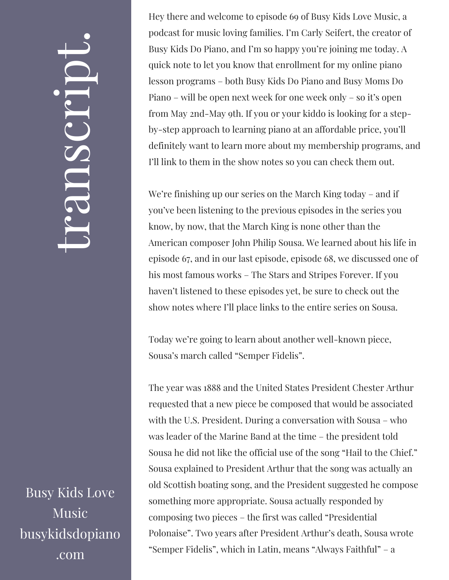## $\leftarrow$ ra<br>S n $\boldsymbol{C}$  $\bigcup$ r $\bullet$   $\overline{\phantom{1}}$  $\boxed{\phantom{1}}$  $\overline{\phantom{a}}$  $\bullet$

Busy Kids Love Music busykidsdopiano .com

Hey there and welcome to episode 69 of Busy Kids Love Music, a podcast for music loving families. I'm Carly Seifert, the creator of Busy Kids Do Piano, and I'm so happy you're joining me today. A quick note to let you know that enrollment for my online piano lesson programs – both Busy Kids Do Piano and Busy Moms Do Piano – will be open next week for one week only – so it's open from May 2nd-May 9th. If you or your kiddo is looking for a stepby-step approach to learning piano at an affordable price, you'll definitely want to learn more about my membership programs, and I'll link to them in the show notes so you can check them out.

We're finishing up our series on the March King today – and if you've been listening to the previous episodes in the series you know, by now, that the March King is none other than the American composer John Philip Sousa. We learned about his life in episode 67, and in our last episode, episode 68, we discussed one of his most famous works – The Stars and Stripes Forever. If you haven't listened to these episodes yet, be sure to check out the show notes where I'll place links to the entire series on Sousa.

Today we're going to learn about another well-known piece, Sousa's march called "Semper Fidelis".

The year was 1888 and the United States President Chester Arthur requested that a new piece be composed that would be associated with the U.S. President. During a conversation with Sousa – who was leader of the Marine Band at the time – the president told Sousa he did not like the official use of the song "Hail to the Chief." Sousa explained to President Arthur that the song was actually an old Scottish boating song, and the President suggested he compose something more appropriate. Sousa actually responded by composing two pieces – the first was called "Presidential Polonaise". Two years after President Arthur's death, Sousa wrote "Semper Fidelis", which in Latin, means "Always Faithful" – a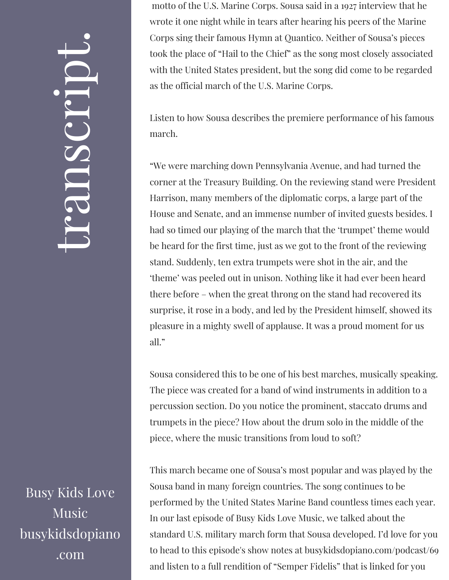## $\leftarrow$ ra<br>S n $\boldsymbol{C}$  $\bigcup$ r $\bullet$   $\overline{\phantom{1}}$  $\boxed{\phantom{1}}$  $\overline{\phantom{a}}$  $\bullet$

Busy Kids Love Music busykidsdopiano .com

motto of the U.S. Marine Corps. Sousa said in a 1927 interview that he wrote it one night while in tears after hearing his peers of the Marine Corps sing their famous Hymn at Quantico. Neither of Sousa's pieces took the place of "Hail to the Chief" as the song most closely associated with the United States president, but the song did come to be regarded as the official march of the U.S. Marine Corps.

Listen to how Sousa describes the premiere performance of his famous march.

"We were marching down Pennsylvania Avenue, and had turned the corner at the Treasury Building. On the reviewing stand were President Harrison, many members of the diplomatic corps, a large part of the House and Senate, and an immense number of invited guests besides. I had so timed our playing of the march that the 'trumpet' theme would be heard for the first time, just as we got to the front of the reviewing stand. Suddenly, ten extra trumpets were shot in the air, and the 'theme' was peeled out in unison. Nothing like it had ever been heard there before – when the great throng on the stand had recovered its surprise, it rose in a body, and led by the President himself, showed its pleasure in a mighty swell of applause. It was a proud moment for us all."

Sousa considered this to be one of his best marches, musically speaking. The piece was created for a band of wind instruments in addition to a percussion section. Do you notice the prominent, staccato drums and trumpets in the piece? How about the drum solo in the middle of the piece, where the music transitions from loud to soft?

This march became one of Sousa's most popular and was played by the Sousa band in many foreign countries. The song continues to be performed by the United States Marine Band countless times each year. In our last episode of Busy Kids Love Music, we talked about the standard U.S. military march form that Sousa developed. I'd love for you to head to this episode's show notes at busykidsdopiano.com/podcast/69 and listen to a full rendition of "Semper Fidelis" that is linked for you